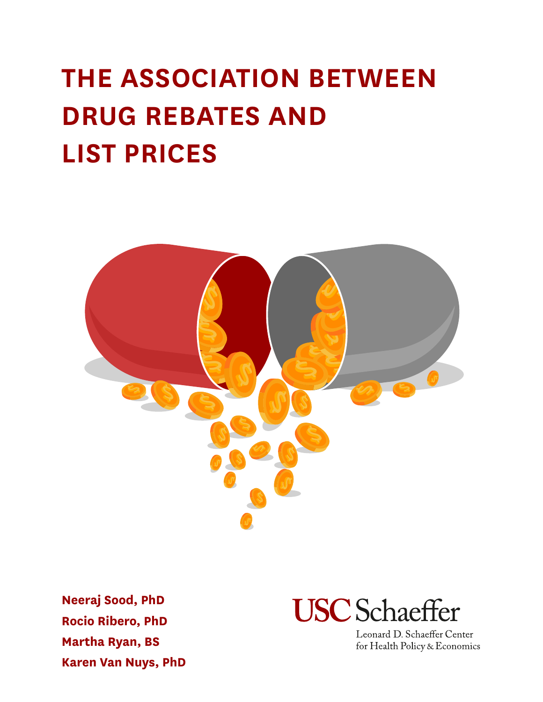# **THE ASSOCIATION BETWEEN DRUG REBATES AND LIST PRICES**



**Neeraj Sood, PhD Rocio Ribero, PhD Martha Ryan, BS Karen Van Nuys, PhD**



Leonard D. Schaeffer Center for Health Policy & Economics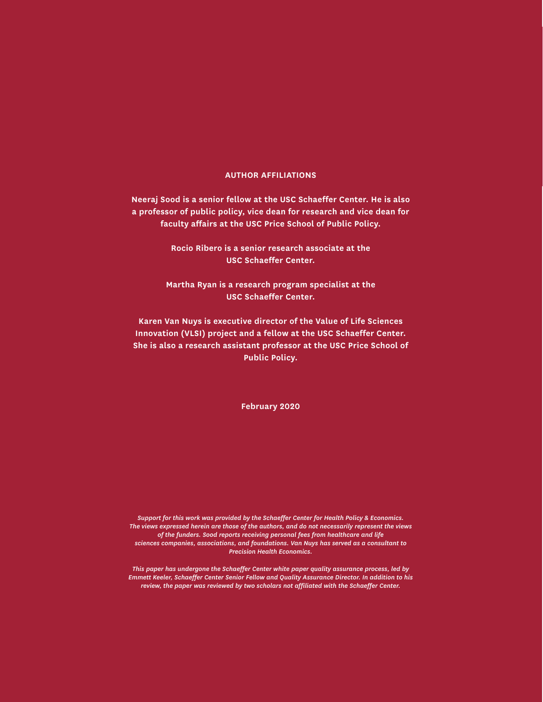#### **AUTHOR AFFILIATIONS**

**Neeraj Sood is a senior fellow at the USC Schaeffer Center. He is also a professor of public policy, vice dean for research and vice dean for faculty affairs at the USC Price School of Public Policy.**

> **Rocio Ribero is a senior research associate at the USC Schaeffer Center.**

**Martha Ryan is a research program specialist at the USC Schaeffer Center.**

**Karen Van Nuys is executive director of the Value of Life Sciences Innovation (VLSI) project and a fellow at the USC Schaeffer Center. She is also a research assistant professor at the USC Price School of Public Policy.**

**February 2020**

*Support for this work was provided by the Schaeffer Center for Health Policy & Economics. The views expressed herein are those of the authors, and do not necessarily represent the views of the funders. Sood reports receiving personal fees from healthcare and life sciences companies, associations, and foundations. Van Nuys has served as a consultant to Precision Health Economics.*

*This paper has undergone the Schaeffer Center white paper quality assurance process, led by Emmett Keeler, Schaeffer Center Senior Fellow and Quality Assurance Director. In addition to his review, the paper was reviewed by two scholars not affiliated with the Schaeffer Center.*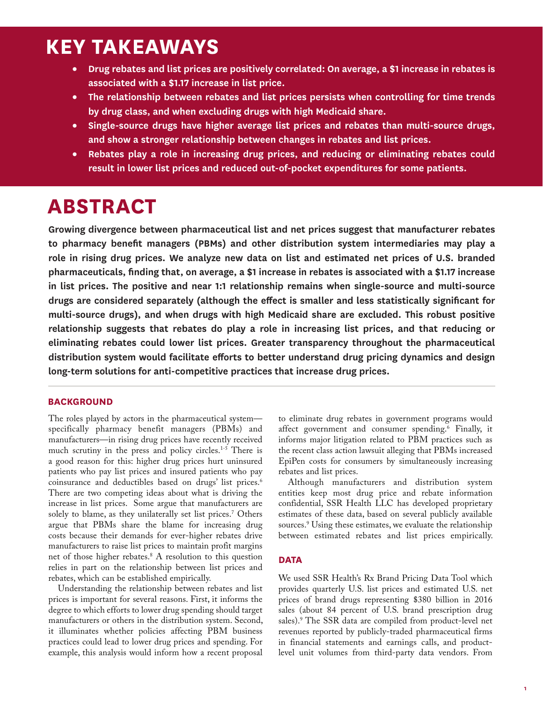### **KEY TAKEAWAYS**

- **Drug rebates and list prices are positively correlated: On average, a \$1 increase in rebates is associated with a \$1.17 increase in list price.**
- **The relationship between rebates and list prices persists when controlling for time trends by drug class, and when excluding drugs with high Medicaid share.**
- **Single-source drugs have higher average list prices and rebates than multi-source drugs, and show a stronger relationship between changes in rebates and list prices.**
- **Rebates play a role in increasing drug prices, and reducing or eliminating rebates could result in lower list prices and reduced out-of-pocket expenditures for some patients.**

### **ABSTRACT**

**Growing divergence between pharmaceutical list and net prices suggest that manufacturer rebates to pharmacy benefit managers (PBMs) and other distribution system intermediaries may play a role in rising drug prices. We analyze new data on list and estimated net prices of U.S. branded pharmaceuticals, finding that, on average, a \$1 increase in rebates is associated with a \$1.17 increase in list prices. The positive and near 1:1 relationship remains when single-source and multi-source drugs are considered separately (although the effect is smaller and less statistically significant for multi-source drugs), and when drugs with high Medicaid share are excluded. This robust positive relationship suggests that rebates do play a role in increasing list prices, and that reducing or eliminating rebates could lower list prices. Greater transparency throughout the pharmaceutical distribution system would facilitate efforts to better understand drug pricing dynamics and design long-term solutions for anti-competitive practices that increase drug prices.**

#### **BACKGROUND**

The roles played by actors in the pharmaceutical system specifically pharmacy benefit managers (PBMs) and manufacturers—in rising drug prices have recently received much scrutiny in the press and policy circles.<sup>1-5</sup> There is a good reason for this: higher drug prices hurt uninsured patients who pay list prices and insured patients who pay coinsurance and deductibles based on drugs' list prices.<sup>6</sup> There are two competing ideas about what is driving the increase in list prices. Some argue that manufacturers are solely to blame, as they unilaterally set list prices.7 Others argue that PBMs share the blame for increasing drug costs because their demands for ever-higher rebates drive manufacturers to raise list prices to maintain profit margins net of those higher rebates.8 A resolution to this question relies in part on the relationship between list prices and rebates, which can be established empirically.

Understanding the relationship between rebates and list prices is important for several reasons. First, it informs the degree to which efforts to lower drug spending should target manufacturers or others in the distribution system. Second, it illuminates whether policies affecting PBM business practices could lead to lower drug prices and spending. For example, this analysis would inform how a recent proposal to eliminate drug rebates in government programs would affect government and consumer spending.6 Finally, it informs major litigation related to PBM practices such as the recent class action lawsuit alleging that PBMs increased EpiPen costs for consumers by simultaneously increasing rebates and list prices.

Although manufacturers and distribution system entities keep most drug price and rebate information confidential, SSR Health LLC has developed proprietary estimates of these data, based on several publicly available sources.9 Using these estimates, we evaluate the relationship between estimated rebates and list prices empirically.

#### **DATA**

We used SSR Health's Rx Brand Pricing Data Tool which provides quarterly U.S. list prices and estimated U.S. net prices of brand drugs representing \$380 billion in 2016 sales (about 84 percent of U.S. brand prescription drug sales).9 The SSR data are compiled from product-level net revenues reported by publicly-traded pharmaceutical firms in financial statements and earnings calls, and productlevel unit volumes from third-party data vendors. From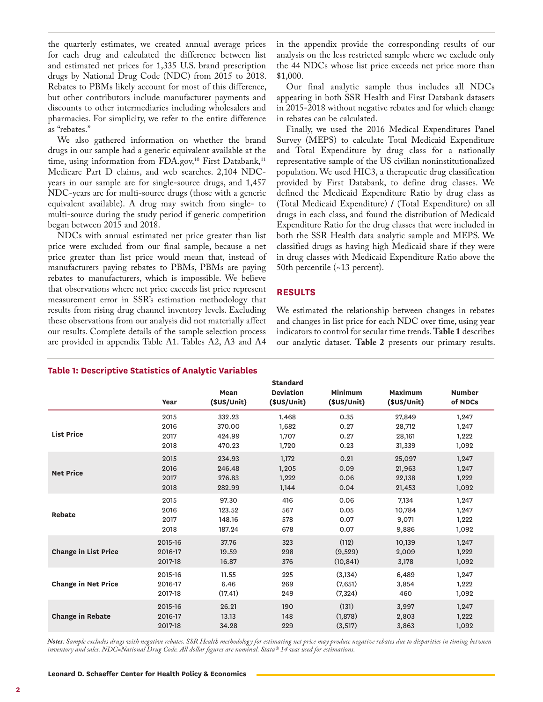the quarterly estimates, we created annual average prices for each drug and calculated the difference between list and estimated net prices for 1,335 U.S. brand prescription drugs by National Drug Code (NDC) from 2015 to 2018. Rebates to PBMs likely account for most of this difference, but other contributors include manufacturer payments and discounts to other intermediaries including wholesalers and pharmacies. For simplicity, we refer to the entire difference as "rebates."

We also gathered information on whether the brand drugs in our sample had a generic equivalent available at the time, using information from FDA.gov,<sup>10</sup> First Databank,<sup>11</sup> Medicare Part D claims, and web searches. 2,104 NDCyears in our sample are for single-source drugs, and 1,457 NDC-years are for multi-source drugs (those with a generic equivalent available). A drug may switch from single- to multi-source during the study period if generic competition began between 2015 and 2018.

NDCs with annual estimated net price greater than list price were excluded from our final sample, because a net price greater than list price would mean that, instead of manufacturers paying rebates to PBMs, PBMs are paying rebates to manufacturers, which is impossible. We believe that observations where net price exceeds list price represent measurement error in SSR's estimation methodology that results from rising drug channel inventory levels. Excluding these observations from our analysis did not materially affect our results. Complete details of the sample selection process are provided in appendix Table A1. Tables A2, A3 and A4

#### in the appendix provide the corresponding results of our analysis on the less restricted sample where we exclude only the 44 NDCs whose list price exceeds net price more than \$1,000.

Our final analytic sample thus includes all NDCs appearing in both SSR Health and First Databank datasets in 2015-2018 without negative rebates and for which change in rebates can be calculated.

Finally, we used the 2016 Medical Expenditures Panel Survey (MEPS) to calculate Total Medicaid Expenditure and Total Expenditure by drug class for a nationally representative sample of the US civilian noninstitutionalized population. We used HIC3, a therapeutic drug classification provided by First Databank, to define drug classes. We defined the Medicaid Expenditure Ratio by drug class as (Total Medicaid Expenditure) / (Total Expenditure) on all drugs in each class, and found the distribution of Medicaid Expenditure Ratio for the drug classes that were included in both the SSR Health data analytic sample and MEPS. We classified drugs as having high Medicaid share if they were in drug classes with Medicaid Expenditure Ratio above the 50th percentile (~13 percent).

#### **RESULTS**

We estimated the relationship between changes in rebates and changes in list price for each NDC over time, using year indicators to control for secular time trends. **Table 1** describes our analytic dataset. **Table 2** presents our primary results.

|                             | Year    | Mean<br>(SUS/Unit) | <b>Standard</b><br><b>Deviation</b><br>(\$US/Unit) | Minimum<br>(\$US/Unit) | Maximum<br>(SUS/Unit) | <b>Number</b><br>of NDCs |
|-----------------------------|---------|--------------------|----------------------------------------------------|------------------------|-----------------------|--------------------------|
| <b>List Price</b>           | 2015    | 332.23             | 1,468                                              | 0.35                   | 27,849                | 1,247                    |
|                             | 2016    | 370.00             | 1.682                                              | 0.27                   | 28,712                | 1,247                    |
|                             | 2017    | 424.99             | 1.707                                              | 0.27                   | 28,161                | 1,222                    |
|                             | 2018    | 470.23             | 1,720                                              | 0.23                   | 31,339                | 1,092                    |
| <b>Net Price</b>            | 2015    | 234.93             | 1.172                                              | 0.21                   | 25,097                | 1,247                    |
|                             | 2016    | 246.48             | 1,205                                              | 0.09                   | 21,963                | 1,247                    |
|                             | 2017    | 276.83             | 1,222                                              | 0.06                   | 22,138                | 1,222                    |
|                             | 2018    | 282.99             | 1,144                                              | 0.04                   | 21,453                | 1,092                    |
| <b>Rebate</b>               | 2015    | 97.30              | 416                                                | 0.06                   | 7,134                 | 1,247                    |
|                             | 2016    | 123.52             | 567                                                | 0.05                   | 10,784                | 1,247                    |
|                             | 2017    | 148.16             | 578                                                | 0.07                   | 9,071                 | 1,222                    |
|                             | 2018    | 187.24             | 678                                                | 0.07                   | 9,886                 | 1,092                    |
| <b>Change in List Price</b> | 2015-16 | 37.76              | 323                                                | (112)                  | 10,139                | 1,247                    |
|                             | 2016-17 | 19.59              | 298                                                | (9,529)                | 2,009                 | 1,222                    |
|                             | 2017-18 | 16.87              | 376                                                | (10, 841)              | 3,178                 | 1,092                    |
| <b>Change in Net Price</b>  | 2015-16 | 11.55              | 225                                                | (3, 134)               | 6,489                 | 1,247                    |
|                             | 2016-17 | 6.46               | 269                                                | (7,651)                | 3,854                 | 1,222                    |
|                             | 2017-18 | (17.41)            | 249                                                | (7, 324)               | 460                   | 1,092                    |
| <b>Change in Rebate</b>     | 2015-16 | 26.21              | 190                                                | (131)                  | 3,997                 | 1,247                    |
|                             | 2016-17 | 13.13              | 148                                                | (1,878)                | 2,803                 | 1,222                    |
|                             | 2017-18 | 34.28              | 229                                                | (3, 517)               | 3,863                 | 1,092                    |

*Notes: Sample excludes drugs with negative rebates. SSR Health methodology for estimating net price may produce negative rebates due to disparities in timing between inventory and sales. NDC=National Drug Code. All dollar figures are nominal. Stata® 14 was used for estimations.*

#### **Table 1: Descriptive Statistics of Analytic Variables**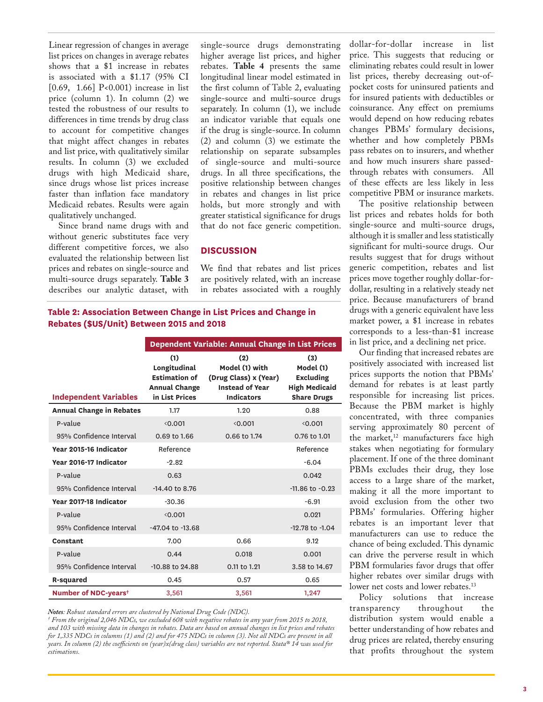Linear regression of changes in average list prices on changes in average rebates shows that a \$1 increase in rebates is associated with a \$1.17 (95% CI [0.69, 1.66] P<0.001) increase in list price (column 1). In column (2) we tested the robustness of our results to differences in time trends by drug class to account for competitive changes that might affect changes in rebates and list price, with qualitatively similar results. In column (3) we excluded drugs with high Medicaid share, since drugs whose list prices increase faster than inflation face mandatory Medicaid rebates. Results were again qualitatively unchanged.

Since brand name drugs with and without generic substitutes face very different competitive forces, we also evaluated the relationship between list prices and rebates on single-source and multi-source drugs separately. **Table 3** describes our analytic dataset, with

single-source drugs demonstrating higher average list prices, and higher rebates. **Table 4** presents the same longitudinal linear model estimated in the first column of Table 2, evaluating single-source and multi-source drugs separately. In column (1), we include an indicator variable that equals one if the drug is single-source. In column (2) and column (3) we estimate the relationship on separate subsamples of single-source and multi-source drugs. In all three specifications, the positive relationship between changes in rebates and changes in list price holds, but more strongly and with greater statistical significance for drugs that do not face generic competition.

#### **DISCUSSION**

We find that rebates and list prices are positively related, with an increase in rebates associated with a roughly

**Table 2: Association Between Change in List Prices and Change in Rebates (\$US/Unit) Between 2015 and 2018**

|                                  | Dependent Variable: Annual Change in List Prices                                      |                                                                                               |                                                                                    |  |
|----------------------------------|---------------------------------------------------------------------------------------|-----------------------------------------------------------------------------------------------|------------------------------------------------------------------------------------|--|
| <b>Independent Variables</b>     | (1)<br>Longitudinal<br><b>Estimation of</b><br><b>Annual Change</b><br>in List Prices | (2)<br>Model (1) with<br>(Drug Class) x (Year)<br><b>Instead of Year</b><br><b>Indicators</b> | (3)<br>Model (1)<br><b>Excluding</b><br><b>High Medicaid</b><br><b>Share Drugs</b> |  |
| <b>Annual Change in Rebates</b>  | 1.17                                                                                  | 1.20                                                                                          | 0.88                                                                               |  |
| P-value                          | 0.001                                                                                 | 0.001                                                                                         | 0.001                                                                              |  |
| 95% Confidence Interval          | 0.69 to 1.66                                                                          | 0.66 to 1.74                                                                                  | 0.76 to 1.01                                                                       |  |
| Year 2015-16 Indicator           | Reference                                                                             |                                                                                               | Reference                                                                          |  |
| Year 2016-17 Indicator           | $-2.82$                                                                               |                                                                                               | $-6.04$                                                                            |  |
| P-value                          | 0.63                                                                                  |                                                                                               | 0.042                                                                              |  |
| 95% Confidence Interval          | -14.40 to 8.76                                                                        |                                                                                               | $-11.86$ to $-0.23$                                                                |  |
| Year 2017-18 Indicator           | $-30.36$                                                                              |                                                                                               | $-6.91$                                                                            |  |
| P-value                          | 0.001                                                                                 |                                                                                               | 0.021                                                                              |  |
| 95% Confidence Interval          | $-47.04$ to $-13.68$                                                                  |                                                                                               | $-12.78$ to $-1.04$                                                                |  |
| Constant                         | 7.00                                                                                  | 0.66                                                                                          | 9.12                                                                               |  |
| P-value                          | 0.44                                                                                  | 0.018                                                                                         | 0.001                                                                              |  |
| 95% Confidence Interval          | -10.88 to 24.88                                                                       | 0.11 to 1.21                                                                                  | 3.58 to 14.67                                                                      |  |
| R-squared                        | 0.45                                                                                  | 0.57                                                                                          | 0.65                                                                               |  |
| Number of NDC-years <sup>+</sup> | 3,561                                                                                 | 3,561                                                                                         | 1,247                                                                              |  |

*Notes: Robust standard errors are clustered by National Drug Code (NDC). † From the original 2,046 NDCs, we excluded 608 with negative rebates in any year from 2015 to 2018, and 103 with missing data in changes in rebates. Data are based on annual changes in list prices and rebates for 1,335 NDCs in columns (1) and (2) and for 475 NDCs in column (3). Not all NDCs are present in all years. In column (2) the coefficients on (year)x(drug class) variables are not reported. Stata® 14 was used for estimations.*

dollar-for-dollar increase in list price. This suggests that reducing or eliminating rebates could result in lower list prices, thereby decreasing out-ofpocket costs for uninsured patients and for insured patients with deductibles or coinsurance. Any effect on premiums would depend on how reducing rebates changes PBMs' formulary decisions, whether and how completely PBMs pass rebates on to insurers, and whether and how much insurers share passedthrough rebates with consumers. All of these effects are less likely in less competitive PBM or insurance markets.

The positive relationship between list prices and rebates holds for both single-source and multi-source drugs, although it is smaller and less statistically significant for multi-source drugs. Our results suggest that for drugs without generic competition, rebates and list prices move together roughly dollar-fordollar, resulting in a relatively steady net price. Because manufacturers of brand drugs with a generic equivalent have less market power, a \$1 increase in rebates corresponds to a less-than-\$1 increase in list price, and a declining net price.

Our finding that increased rebates are positively associated with increased list prices supports the notion that PBMs' demand for rebates is at least partly responsible for increasing list prices. Because the PBM market is highly concentrated, with three companies serving approximately 80 percent of the market,<sup>12</sup> manufacturers face high stakes when negotiating for formulary placement. If one of the three dominant PBMs excludes their drug, they lose access to a large share of the market, making it all the more important to avoid exclusion from the other two PBMs' formularies. Offering higher rebates is an important lever that manufacturers can use to reduce the chance of being excluded. This dynamic can drive the perverse result in which PBM formularies favor drugs that offer higher rebates over similar drugs with lower net costs and lower rebates.<sup>13</sup>

Policy solutions that increase<br>ansparency throughout the transparency throughout the distribution system would enable a better understanding of how rebates and drug prices are related, thereby ensuring that profits throughout the system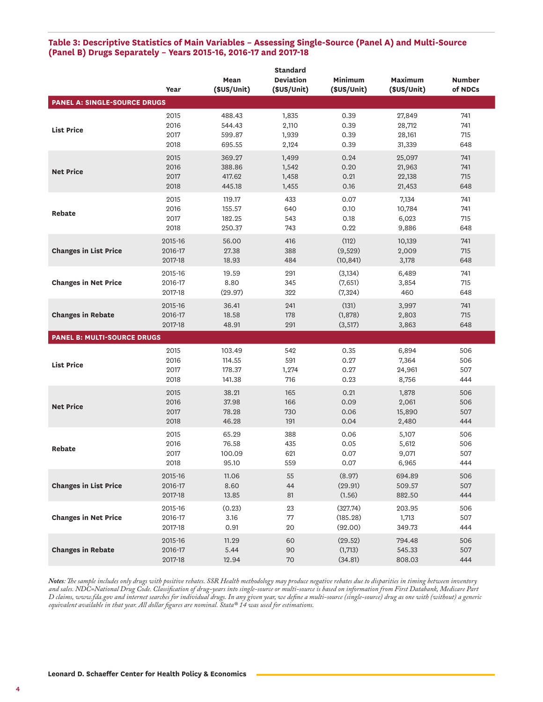#### **Table 3: Descriptive Statistics of Main Variables – Assessing Single-Source (Panel A) and Multi-Source (Panel B) Drugs Separately – Years 2015-16, 2016-17 and 2017-18**

|                                     |         |             | <b>Standard</b>  |             |             |               |
|-------------------------------------|---------|-------------|------------------|-------------|-------------|---------------|
|                                     |         | Mean        | <b>Deviation</b> | Minimum     | Maximum     | <b>Number</b> |
|                                     | Year    | (\$US/Unit) | (\$US/Unit)      | (\$US/Unit) | (\$US/Unit) | of NDCs       |
| <b>PANEL A: SINGLE-SOURCE DRUGS</b> |         |             |                  |             |             |               |
|                                     |         |             |                  |             |             |               |
|                                     | 2015    | 488.43      | 1,835            | 0.39        | 27,849      | 741           |
| <b>List Price</b>                   | 2016    | 544.43      | 2,110            | 0.39        | 28,712      | 741           |
|                                     | 2017    | 599.87      | 1,939            | 0.39        | 28,161      | 715           |
|                                     | 2018    | 695.55      | 2,124            | 0.39        | 31,339      | 648           |
|                                     | 2015    | 369.27      | 1,499            | 0.24        | 25,097      | 741           |
|                                     | 2016    | 388.86      | 1,542            | 0.20        | 21,963      | 741           |
| <b>Net Price</b>                    | 2017    | 417.62      | 1,458            | 0.21        | 22,138      | 715           |
|                                     | 2018    | 445.18      | 1,455            | 0.16        | 21,453      | 648           |
|                                     | 2015    | 119.17      | 433              | 0.07        | 7,134       | 741           |
|                                     | 2016    | 155.57      | 640              | 0.10        | 10,784      | 741           |
| Rebate                              |         |             |                  |             |             |               |
|                                     | 2017    | 182.25      | 543              | 0.18        | 6,023       | 715           |
|                                     | 2018    | 250.37      | 743              | 0.22        | 9,886       | 648           |
|                                     | 2015-16 | 56.00       | 416              | (112)       | 10,139      | 741           |
| <b>Changes in List Price</b>        | 2016-17 | 27.38       | 388              | (9,529)     | 2,009       | 715           |
|                                     | 2017-18 | 18.93       | 484              | (10, 841)   | 3,178       | 648           |
|                                     | 2015-16 | 19.59       | 291              | (3, 134)    | 6,489       | 741           |
| <b>Changes in Net Price</b>         | 2016-17 | 8.80        | 345              | (7,651)     | 3,854       | 715           |
|                                     | 2017-18 | (29.97)     | 322              | (7, 324)    | 460         | 648           |
|                                     |         |             |                  |             |             |               |
|                                     | 2015-16 | 36.41       | 241              | (131)       | 3,997       | 741           |
| <b>Changes in Rebate</b>            | 2016-17 | 18.58       | 178              | (1,878)     | 2,803       | 715           |
|                                     | 2017-18 | 48.91       | 291              | (3,517)     | 3,863       | 648           |
| <b>PANEL B: MULTI-SOURCE DRUGS</b>  |         |             |                  |             |             |               |
|                                     | 2015    | 103.49      | 542              | 0.35        | 6,894       | 506           |
|                                     | 2016    | 114.55      | 591              | 0.27        | 7,364       | 506           |
| <b>List Price</b>                   | 2017    | 178.37      | 1,274            | 0.27        | 24,961      | 507           |
|                                     | 2018    |             | 716              | 0.23        | 8,756       | 444           |
|                                     |         | 141.38      |                  |             |             |               |
|                                     | 2015    | 38.21       | 165              | 0.21        | 1,878       | 506           |
| <b>Net Price</b>                    | 2016    | 37.98       | 166              | 0.09        | 2,061       | 506           |
|                                     | 2017    | 78.28       | 730              | 0.06        | 15,890      | 507           |
|                                     | 2018    | 46.28       | 191              | 0.04        | 2,480       | 444           |
|                                     | 2015    | 65.29       | 388              | 0.06        | 5,107       | 506           |
|                                     | 2016    | 76.58       | 435              | 0.05        | 5,612       | 506           |
| Rebate                              | 2017    | 100.09      | 621              | 0.07        | 9,071       | 507           |
|                                     | 2018    | 95.10       | 559              | 0.07        | 6,965       | 444           |
|                                     |         |             |                  |             |             |               |
|                                     | 2015-16 | 11.06       | 55               | (8.97)      | 694.89      | 506           |
| <b>Changes in List Price</b>        | 2016-17 | 8.60        | 44               | (29.91)     | 509.57      | 507           |
|                                     | 2017-18 | 13.85       | 81               | (1.56)      | 882.50      | 444           |
|                                     | 2015-16 | (0.23)      | 23               | (327.74)    | 203.95      | 506           |
| <b>Changes in Net Price</b>         | 2016-17 | 3.16        | 77               | (185.28)    | 1,713       | 507           |
|                                     | 2017-18 | 0.91        | 20               | (92.00)     | 349.73      | 444           |
|                                     | 2015-16 | 11.29       |                  | (29.52)     | 794.48      | 506           |
| <b>Changes in Rebate</b>            | 2016-17 | 5.44        | 60<br>90         | (1,713)     | 545.33      | 507           |
|                                     |         | 12.94       |                  |             |             | 444           |
|                                     | 2017-18 |             | 70               | (34.81)     | 808.03      |               |

*Notes: The sample includes only drugs with positive rebates. SSR Health methodology may produce negative rebates due to disparities in timing between inventory and sales. NDC=National Drug Code. Classification of drug-years into single-source or multi-source is based on information from First Databank, Medicare Part D claims, www.fda.gov and internet searches for individual drugs. In any given year, we define a multi-source (single-source) drug as one with (without) a generic equivalent available in that year. All dollar figures are nominal. Stata® 14 was used for estimations.*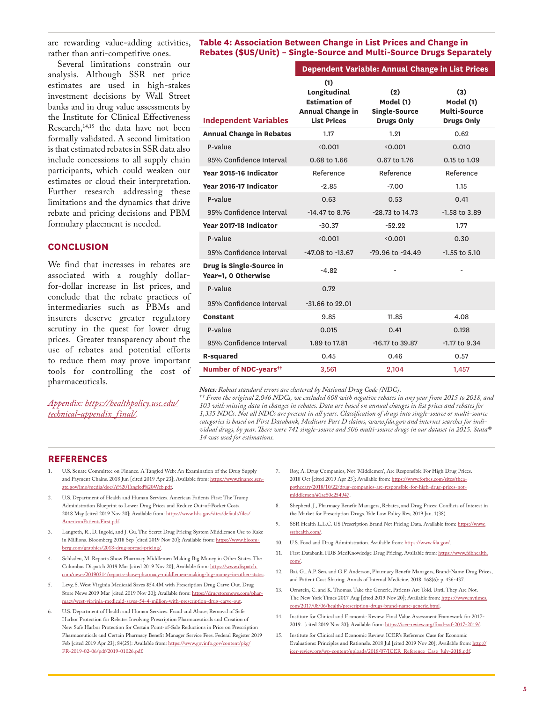are rewarding value-adding activities, rather than anti-competitive ones.

Several limitations constrain our analysis. Although SSR net price estimates are used in high-stakes investment decisions by Wall Street banks and in drug value assessments by the Institute for Clinical Effectiveness Research,<sup>14,15</sup> the data have not been formally validated. A second limitation is that estimated rebates in SSR data also include concessions to all supply chain participants, which could weaken our estimates or cloud their interpretation. Further research addressing these limitations and the dynamics that drive rebate and pricing decisions and PBM formulary placement is needed.

#### **CONCLUSION**

We find that increases in rebates are associated with a roughly dollarfor-dollar increase in list prices, and conclude that the rebate practices of intermediaries such as PBMs and insurers deserve greater regulatory scrutiny in the quest for lower drug prices. Greater transparency about the use of rebates and potential efforts to reduce them may prove important tools for controlling the cost of pharmaceuticals.

*Appendix: https://healthpolicy.usc.edu/ technical-appendix\_final/.*

**Table 4: Association Between Change in List Prices and Change in Rebates (\$US/Unit) – Single-Source and Multi-Source Drugs Separately**

|                                                 | Dependent Variable: Annual Change in List Prices                                             |                                                               |                                                              |  |  |
|-------------------------------------------------|----------------------------------------------------------------------------------------------|---------------------------------------------------------------|--------------------------------------------------------------|--|--|
| <b>Independent Variables</b>                    | (1)<br>Longitudinal<br><b>Estimation of</b><br><b>Annual Change in</b><br><b>List Prices</b> | (2)<br>Model (1)<br><b>Single-Source</b><br><b>Drugs Only</b> | (3)<br>Model (1)<br><b>Multi-Source</b><br><b>Drugs Only</b> |  |  |
| <b>Annual Change in Rebates</b>                 | 1.17                                                                                         | 1.21                                                          | 0.62                                                         |  |  |
| P-value                                         | 0.001                                                                                        | 0.001                                                         | 0.010                                                        |  |  |
| 95% Confidence Interval                         | 0.68 to 1.66                                                                                 | 0.67 to 1.76                                                  | 0.15 to 1.09                                                 |  |  |
| Year 2015-16 Indicator                          | Reference                                                                                    | Reference                                                     | Reference                                                    |  |  |
| Year 2016-17 Indicator                          | $-2.85$                                                                                      | $-7.00$                                                       | 1.15                                                         |  |  |
| P-value                                         | 0.63                                                                                         | 0.53                                                          | 0.41                                                         |  |  |
| 95% Confidence Interval                         | -14.47 to 8.76                                                                               | -28.73 to 14.73                                               | $-1.58$ to $3.89$                                            |  |  |
| Year 2017-18 Indicator                          | $-30.37$                                                                                     | $-52.22$                                                      | 1.77                                                         |  |  |
| P-value                                         | 0.001                                                                                        | 0.001                                                         | 0.30                                                         |  |  |
| 95% Confidence Interval                         | -47.08 to -13.67                                                                             | -79.96 to -24.49                                              | $-1.55$ to $5.10$                                            |  |  |
| Drug is Single-Source in<br>Year=1, 0 Otherwise | $-4.82$                                                                                      |                                                               |                                                              |  |  |
| P-value                                         | 0.72                                                                                         |                                                               |                                                              |  |  |
| 95% Confidence Interval                         | -31.66 to 22.01                                                                              |                                                               |                                                              |  |  |
| Constant                                        | 9.85                                                                                         | 11.85                                                         | 4.08                                                         |  |  |
| P-value                                         | 0.015                                                                                        | 0.41                                                          | 0.128                                                        |  |  |
| 95% Confidence Interval                         | 1.89 to 17.81                                                                                | -16.17 to 39.87                                               | -1.17 to 9.34                                                |  |  |
| R-squared                                       | 0.45                                                                                         | 0.46                                                          | 0.57                                                         |  |  |
| Number of NDC-years <sup>++</sup>               | 3,561                                                                                        | 2,104                                                         | 1,457                                                        |  |  |

*Notes: Robust standard errors are clustered by National Drug Code (NDC). † † From the original 2,046 NDCs, we excluded 608 with negative rebates in any year from 2015 to 2018, and 103 with missing data in changes in rebates. Data are based on annual changes in list prices and rebates for 1,335 NDCs. Not all NDCs are present in all years. Classification of drugs into single-source or multi-source categories is based on First Databank, Medicare Part D claims, www.fda.gov and internet searches for individual drugs, by year. There were 741 single-source and 506 multi-source drugs in our dataset in 2015. Stata® 14 was used for estimations.*

#### **REFERENCES**

- 1. U.S. Senate Committee on Finance. A Tangled Web: An Examination of the Drug Supply and Payment Chains. 2018 Jun [cited 2019 Apr 23]; Available from: https://www.finance.senate.gov/imo/media/doc/A%20Tangled%20Web.pdf.
- 2. U.S. Department of Health and Human Services. American Patients First: The Trump Administration Blueprint to Lower Drug Prices and Reduce Out-of-Pocket Costs. 2018 May [cited 2019 Nov 20]; Available from: https://www.hhs.gov/sites/default/files/ AmericanPatientsFirst.pdf.
- Langreth, R., D. Ingold, and J. Gu. The Secret Drug Pricing System Middlemen Use to Rake in Millions. Bloomberg 2018 Sep [cited 2019 Nov 20]; Available from: https://www.bloomberg.com/graphics/2018-drug-spread-pricing/.
- 4. Schladen, M. Reports Show Pharmacy Middlemen Making Big Money in Other States. The Columbus Dispatch 2019 Mar [cited 2019 Nov 20]; Available from: https://www.dispatch. com/news/20190314/reports-show-pharmacy-middlemen-making-big-money-in-other-states.
- 5. Levy, S. West Virginia Medicaid Saves \$54.4M with Prescription Drug Carve Out. Drug Store News 2019 Mar [cited 2019 Nov 20]; Available from: https://drugstorenews.com/pharmacy/west-virginia-medicaid-saves-54-4-million-with-prescription-drug-carve-out.
- U.S. Department of Health and Human Services. Fraud and Abuse; Removal of Safe Harbor Protection for Rebates Involving Prescription Pharmaceuticals and Creation of New Safe Harbor Protection for Certain Point-of-Sale Reductions in Price on Prescription Pharmaceuticals and Certain Pharmacy Benefit Manager Service Fees. Federal Register 2019 Feb [cited 2019 Apr 23]; 84(25): Available from: https://www.govinfo.gov/content/pkg/ FR-2019-02-06/pdf/2019-01026.pdf.
- 7. Roy, A. Drug Companies, Not 'Middlemen', Are Responsible For High Drug Prices. 2018 Oct [cited 2019 Apr 23]; Available from: https://www.forbes.com/sites/theapothecary/2018/10/22/drug-companies-are-responsible-for-high-drug-prices-notmiddlemen/#1ae50c254947.
- 8. Shepherd, J., Pharmacy Benefit Managers, Rebates, and Drug Prices: Conflicts of Interest in the Market for Prescription Drugs. Yale Law Policy Rev, 2019 Jan. 1(38).
- 9. SSR Health L.L.C. US Prescription Brand Net Pricing Data. Available from: https://www. ssrhealth.com/.
- 10. U.S. Food and Drug Administration. Available from: https://www.fda.gov/.
- 11. First Databank. FDB MedKnowledge Drug Pricing. Available from: https://www.fdbhealth. com/.
- 12. Bai, G., A.P. Sen, and G.F. Anderson, Pharmacy Benefit Managers, Brand-Name Drug Prices, and Patient Cost Sharing. Annals of Internal Medicine, 2018. 168(6): p. 436-437.
- 13. Ornstein, C. and K. Thomas. Take the Generic, Patients Are Told. Until They Are Not. The New York Times 2017 Aug [cited 2019 Nov 20]; Available from: https://www.nytimes. com/2017/08/06/health/prescription-drugs-brand-name-generic.html.
- 14. Institute for Clinical and Economic Review. Final Value Assessment Framework for 2017- 2019. [cited 2019 Nov 20]; Available from: https://icer-review.org/final-vaf-2017-2019/.
- 15. Institute for Clinical and Economic Review. ICER's Reference Case for Economic Evaluations: Principles and Rationale. 2018 Jul [cited 2019 Nov 20]; Available from: http:// icer-review.org/wp-content/uploads/2018/07/ICER\_Reference\_Case\_July-2018.pdf.